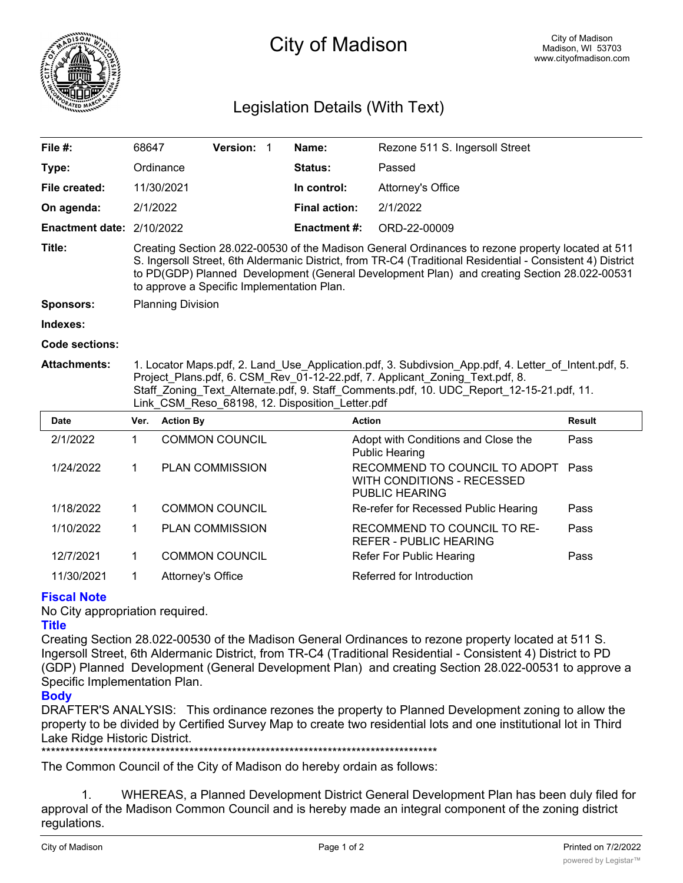

# City of Madison

### Legislation Details (With Text)

| File #:                   | 68647                                                                                                                                                                                                                                                                                                                                                        |                  | Version: 1             |  | Name:                | Rezone 511 S. Ingersoll Street                                                       |               |
|---------------------------|--------------------------------------------------------------------------------------------------------------------------------------------------------------------------------------------------------------------------------------------------------------------------------------------------------------------------------------------------------------|------------------|------------------------|--|----------------------|--------------------------------------------------------------------------------------|---------------|
| Type:                     |                                                                                                                                                                                                                                                                                                                                                              | Ordinance        |                        |  | <b>Status:</b>       | Passed                                                                               |               |
| File created:             |                                                                                                                                                                                                                                                                                                                                                              | 11/30/2021       |                        |  | In control:          | Attorney's Office                                                                    |               |
| On agenda:                | 2/1/2022                                                                                                                                                                                                                                                                                                                                                     |                  |                        |  | <b>Final action:</b> | 2/1/2022                                                                             |               |
| Enactment date: 2/10/2022 |                                                                                                                                                                                                                                                                                                                                                              |                  |                        |  | <b>Enactment #:</b>  | ORD-22-00009                                                                         |               |
| Title:                    | Creating Section 28.022-00530 of the Madison General Ordinances to rezone property located at 511<br>S. Ingersoll Street, 6th Aldermanic District, from TR-C4 (Traditional Residential - Consistent 4) District<br>to PD(GDP) Planned Development (General Development Plan) and creating Section 28.022-00531<br>to approve a Specific Implementation Plan. |                  |                        |  |                      |                                                                                      |               |
| <b>Sponsors:</b>          | <b>Planning Division</b>                                                                                                                                                                                                                                                                                                                                     |                  |                        |  |                      |                                                                                      |               |
| Indexes:                  |                                                                                                                                                                                                                                                                                                                                                              |                  |                        |  |                      |                                                                                      |               |
| Code sections:            |                                                                                                                                                                                                                                                                                                                                                              |                  |                        |  |                      |                                                                                      |               |
|                           | 1. Locator Maps.pdf, 2. Land Use Application.pdf, 3. Subdivsion App.pdf, 4. Letter of Intent.pdf, 5.<br>Project Plans.pdf, 6. CSM Rev 01-12-22.pdf, 7. Applicant Zoning Text.pdf, 8.<br>Staff Zoning Text Alternate.pdf, 9. Staff Comments.pdf, 10. UDC Report 12-15-21.pdf, 11.<br>Link_CSM_Reso_68198, 12. Disposition_Letter.pdf                          |                  |                        |  |                      |                                                                                      |               |
| <b>Attachments:</b>       |                                                                                                                                                                                                                                                                                                                                                              |                  |                        |  |                      |                                                                                      |               |
| <b>Date</b>               | Ver.                                                                                                                                                                                                                                                                                                                                                         | <b>Action By</b> |                        |  | <b>Action</b>        |                                                                                      | <b>Result</b> |
| 2/1/2022                  | 1                                                                                                                                                                                                                                                                                                                                                            |                  | <b>COMMON COUNCIL</b>  |  |                      | Adopt with Conditions and Close the<br><b>Public Hearing</b>                         | Pass          |
| 1/24/2022                 | $\mathbf 1$                                                                                                                                                                                                                                                                                                                                                  |                  | <b>PLAN COMMISSION</b> |  |                      | RECOMMEND TO COUNCIL TO ADOPT<br>WITH CONDITIONS - RECESSED<br><b>PUBLIC HEARING</b> | Pass          |
| 1/18/2022                 | 1                                                                                                                                                                                                                                                                                                                                                            |                  | <b>COMMON COUNCIL</b>  |  |                      | Re-refer for Recessed Public Hearing                                                 | Pass          |
| 1/10/2022                 | 1                                                                                                                                                                                                                                                                                                                                                            |                  | <b>PLAN COMMISSION</b> |  |                      | RECOMMEND TO COUNCIL TO RE-<br><b>REFER - PUBLIC HEARING</b>                         | Pass          |

## 11/30/2021 1 Attorney's Office Referred for Introduction

**Fiscal Note**

No City appropriation required.

### **Title**

Creating Section 28.022-00530 of the Madison General Ordinances to rezone property located at 511 S. Ingersoll Street, 6th Aldermanic District, from TR-C4 (Traditional Residential - Consistent 4) District to PD (GDP) Planned Development (General Development Plan) and creating Section 28.022-00531 to approve a Specific Implementation Plan.

### **Body**

DRAFTER'S ANALYSIS: This ordinance rezones the property to Planned Development zoning to allow the property to be divided by Certified Survey Map to create two residential lots and one institutional lot in Third Lake Ridge Historic District. \*\*\*\*\*\*\*\*\*\*\*\*\*\*\*\*\*\*\*\*\*\*\*\*\*\*\*\*\*\*\*\*\*\*\*\*\*\*\*\*\*\*\*\*\*\*\*\*\*\*\*\*\*\*\*\*\*\*\*\*\*\*\*\*\*\*\*\*\*\*\*\*\*\*\*\*\*\*\*\*\*\*\*

The Common Council of the City of Madison do hereby ordain as follows:

1. WHEREAS, a Planned Development District General Development Plan has been duly filed for approval of the Madison Common Council and is hereby made an integral component of the zoning district regulations.